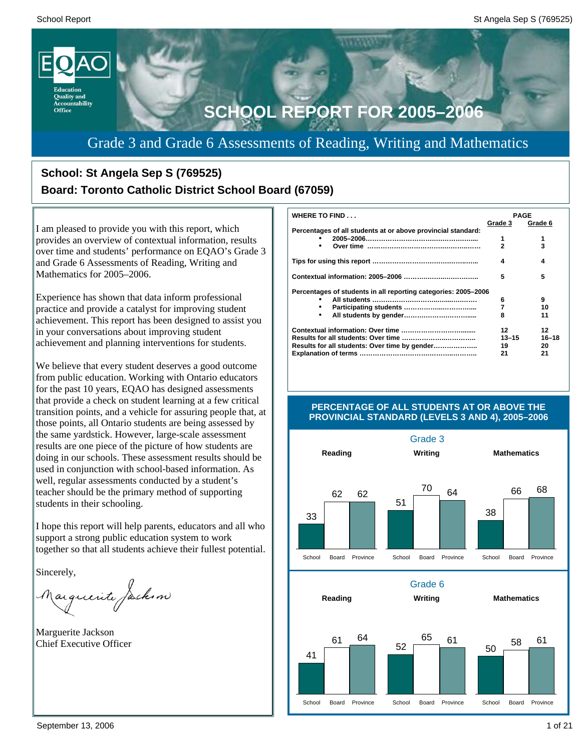

# Grade 3 and Grade 6 Assessments of Reading, Writing and Mathematics

# **School: St Angela Sep S (769525) Board: Toronto Catholic District School Board (67059)**

I am pleased to provide you with this report, which provides an overview of contextual information, results over time and students' performance on EQAO's Grade 3 and Grade 6 Assessments of Reading, Writing and Mathematics for 2005–2006.

Experience has shown that data inform professional practice and provide a catalyst for improving student achievement. This report has been designed to assist you in your conversations about improving student achievement and planning interventions for students.

We believe that every student deserves a good outcome from public education. Working with Ontario educators for the past 10 years, EQAO has designed assessments that provide a check on student learning at a few critical transition points, and a vehicle for assuring people that, at those points, all Ontario students are being assessed by the same yardstick. However, large-scale assessment results are one piece of the picture of how students are doing in our schools. These assessment results should be used in conjunction with school-based information. As well, regular assessments conducted by a student's teacher should be the primary method of supporting students in their schooling.

I hope this report will help parents, educators and all who support a strong public education system to work together so that all students achieve their fullest potential.

Sincerely,

Marguerite Jackson

Marguerite Jackson Chief Executive Officer

| <b>WHERE TO FIND</b>                                           | <b>PAGE</b> |           |  |
|----------------------------------------------------------------|-------------|-----------|--|
|                                                                | Grade 3     | Grade 6   |  |
| Percentages of all students at or above provincial standard:   |             |           |  |
|                                                                | 1           |           |  |
| ٠                                                              | 2           | 3         |  |
|                                                                | 4           | 4         |  |
|                                                                | 5           | 5         |  |
| Percentages of students in all reporting categories: 2005-2006 |             |           |  |
|                                                                | 6           | 9         |  |
| ٠                                                              | 7           | 10        |  |
| ٠                                                              | 8           | 11        |  |
|                                                                | 12          | 12        |  |
|                                                                | $13 - 15$   | $16 - 18$ |  |
| Results for all students: Over time by gender                  | 19          | 20        |  |
|                                                                | 21          | 21        |  |



#### **PERCENTAGE OF ALL STUDENTS AT OR ABOVE THE PROVINCIAL STANDARD (LEVELS 3 AND 4), 2005–2006**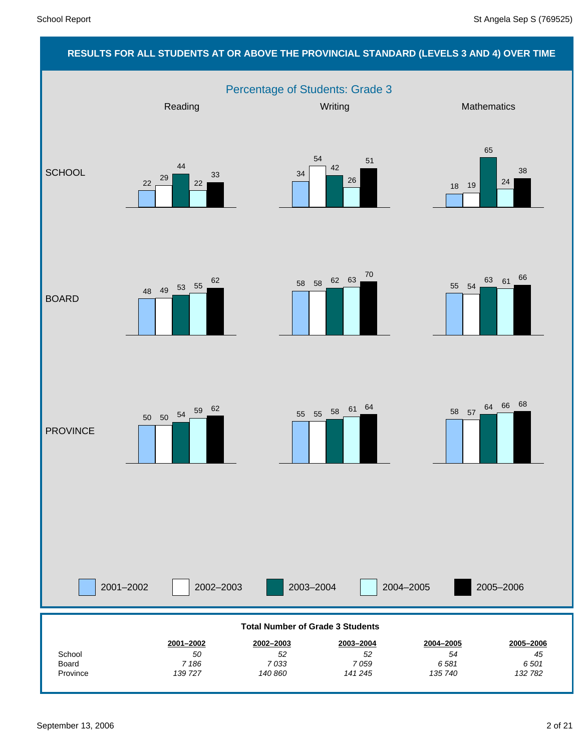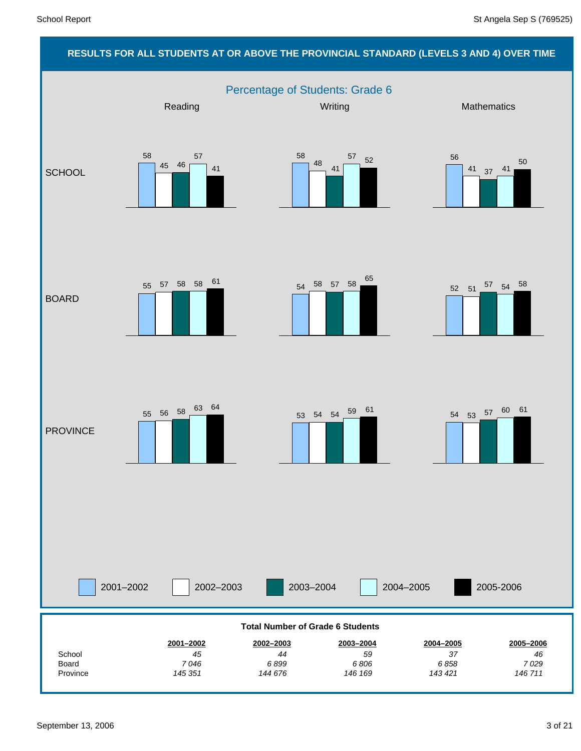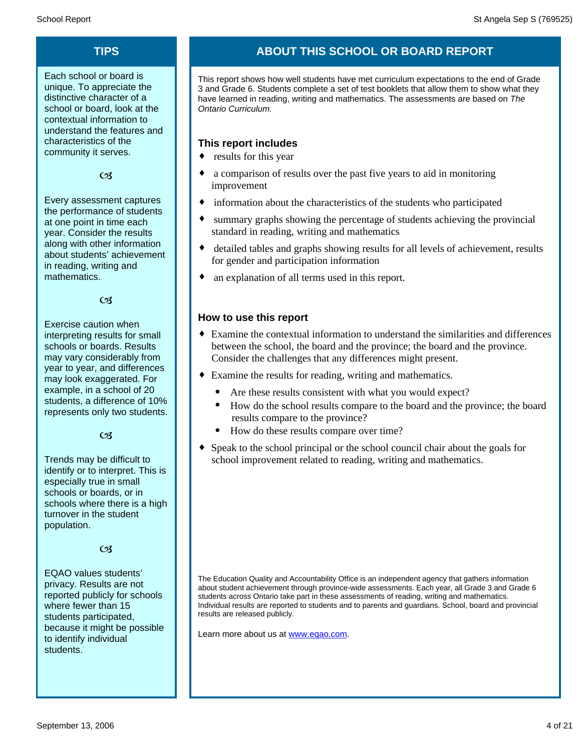Each school or board is unique. To appreciate the distinctive character of a school or board, look at the contextual information to understand the features and characteristics of the community it serves.

### $C<sub>3</sub>$

Every assessment captures the performance of students at one point in time each year. Consider the results along with other information about students' achievement in reading, writing and mathematics.

 $\alpha$ 

Exercise caution when interpreting results for small schools or boards. Results may vary considerably from year to year, and differences may look exaggerated. For example, in a school of 20 students, a difference of 10% represents only two students.

 $C<sub>3</sub>$ 

Trends may be difficult to identify or to interpret. This is especially true in small schools or boards, or in schools where there is a high turnover in the student population.

### $\alpha$

EQAO values students' privacy. Results are not reported publicly for schools where fewer than 15 students participated, because it might be possible to identify individual students.

# **TIPS ABOUT THIS SCHOOL OR BOARD REPORT**

This report shows how well students have met curriculum expectations to the end of Grade 3 and Grade 6. Students complete a set of test booklets that allow them to show what they have learned in reading, writing and mathematics. The assessments are based on *The Ontario Curriculum.*

### **This report includes**

- $\bullet$  results for this year
- a comparison of results over the past five years to aid in monitoring improvement
- information about the characteristics of the students who participated
- summary graphs showing the percentage of students achieving the provincial standard in reading, writing and mathematics
- detailed tables and graphs showing results for all levels of achievement, results for gender and participation information
- an explanation of all terms used in this report.

### **How to use this report**

- ¨ Examine the contextual information to understand the similarities and differences between the school, the board and the province; the board and the province. Consider the challenges that any differences might present.
- Examine the results for reading, writing and mathematics.
	- Are these results consistent with what you would expect?
	- · How do the school results compare to the board and the province; the board results compare to the province?
	- · How do these results compare over time?
- Speak to the school principal or the school council chair about the goals for school improvement related to reading, writing and mathematics.

The Education Quality and Accountability Office is an independent agency that gathers information about student achievement through province-wide assessments. Each year, all Grade 3 and Grade 6 students across Ontario take part in these assessments of reading, writing and mathematics. Individual results are reported to students and to parents and guardians. School, board and provincial results are released publicly.

Learn more about us at www.eqao.com.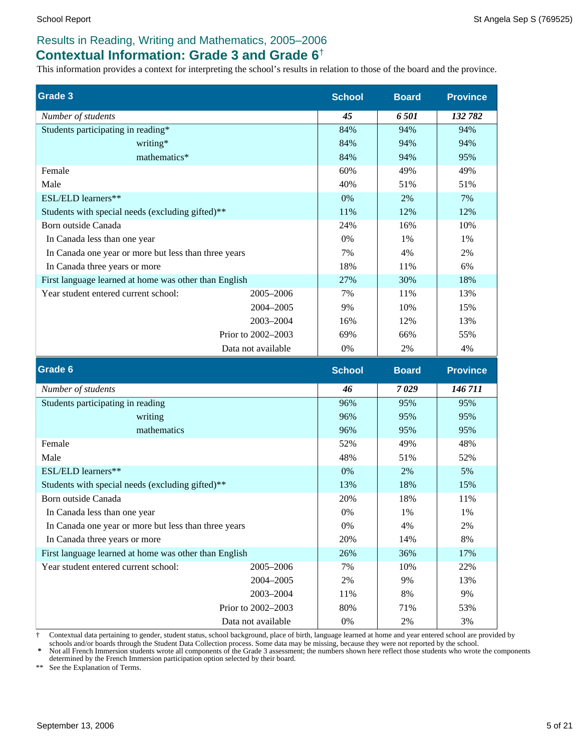## **Contextual Information: Grade 3 and Grade 6**†

This information provides a context for interpreting the school's results in relation to those of the board and the province.

| <b>Grade 3</b>                                        |                    | <b>School</b> | <b>Board</b> | <b>Province</b> |
|-------------------------------------------------------|--------------------|---------------|--------------|-----------------|
| Number of students                                    |                    | 45            | 6501         | 132 782         |
| Students participating in reading*                    |                    | 84%           | 94%          | 94%             |
| writing*                                              |                    | 84%           | 94%          | 94%             |
| mathematics*                                          |                    | 84%           | 94%          | 95%             |
| Female                                                |                    | 60%           | 49%          | 49%             |
| Male                                                  |                    | 40%           | 51%          | 51%             |
| ESL/ELD learners**                                    |                    | 0%            | 2%           | 7%              |
| Students with special needs (excluding gifted)**      |                    | 11%           | 12%          | 12%             |
| Born outside Canada                                   |                    | 24%           | 16%          | 10%             |
| In Canada less than one year                          |                    | 0%            | 1%           | 1%              |
| In Canada one year or more but less than three years  |                    | 7%            | 4%           | 2%              |
| In Canada three years or more                         |                    | 18%           | 11%          | 6%              |
| First language learned at home was other than English |                    | 27%           | 30%          | 18%             |
| Year student entered current school:                  | 2005-2006          | 7%            | 11%          | 13%             |
|                                                       | 2004-2005          | 9%            | 10%          | 15%             |
|                                                       | 2003-2004          | 16%           | 12%          | 13%             |
|                                                       | Prior to 2002-2003 | 69%           | 66%          | 55%             |
|                                                       | Data not available | 0%            | 2%           | 4%              |
| <b>Grade 6</b>                                        |                    | <b>School</b> | <b>Board</b> | <b>Province</b> |
| Number of students                                    |                    | 46            | 7029         | 146 711         |
| Students participating in reading                     |                    | 96%           | 95%          | 95%             |
| writing                                               |                    | 96%           | 95%          | 95%             |

| writing                                               | 96%                  | 95%   | 95% |     |
|-------------------------------------------------------|----------------------|-------|-----|-----|
| mathematics                                           |                      | 96%   | 95% | 95% |
| Female                                                |                      | 52%   | 49% | 48% |
| Male                                                  |                      | 48%   | 51% | 52% |
| ESL/ELD learners**                                    |                      | $0\%$ | 2%  | 5%  |
| Students with special needs (excluding gifted)**      |                      | 13%   | 18% | 15% |
| Born outside Canada                                   |                      | 20%   | 18% | 11% |
| In Canada less than one year                          |                      | $0\%$ | 1%  | 1%  |
| In Canada one year or more but less than three years  | $0\%$                | 4%    | 2%  |     |
| In Canada three years or more                         |                      | 20%   | 14% | 8%  |
| First language learned at home was other than English |                      | 26%   | 36% | 17% |
| Year student entered current school:                  | 2005–2006            | 7%    | 10% | 22% |
|                                                       | 2004–2005            | 2%    | 9%  | 13% |
|                                                       | 2003-2004            | 11%   | 8%  | 9%  |
|                                                       | Prior to $2002-2003$ | 80%   | 71% | 53% |
|                                                       | Data not available   | $0\%$ | 2%  | 3%  |

† Contextual data pertaining to gender, student status, school background, place of birth, language learned at home and year entered school are provided by

schools and/or boards through the Student Data Collection process. Some data may be missing, because they were not reported by the school.<br>\* Not all French Immersion students wrote all components of the Grade 3 assessment;

\*\* See the Explanation of Terms.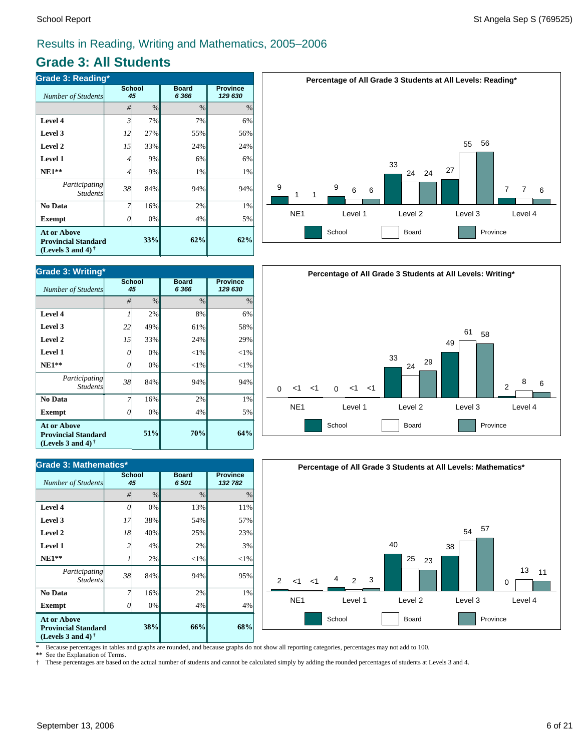# **Grade 3: All Students**

| <b>Grade 3: Reading*</b>                                                                             |    |                     |                         |                            |  |  |  |  |
|------------------------------------------------------------------------------------------------------|----|---------------------|-------------------------|----------------------------|--|--|--|--|
| <b>Number of Students</b>                                                                            |    | <b>School</b><br>45 | <b>Board</b><br>6 3 6 6 | <b>Province</b><br>129 630 |  |  |  |  |
|                                                                                                      | #  | $\%$                | $\%$                    | $\%$                       |  |  |  |  |
| Level 4                                                                                              | 3  | 7%                  | 7%                      | 6%                         |  |  |  |  |
| Level 3                                                                                              | 12 | 27%                 | 55%                     | 56%                        |  |  |  |  |
| Level 2                                                                                              | 15 | 33%                 | 24%                     | 24%                        |  |  |  |  |
| <b>Level 1</b>                                                                                       | 4  | 9%                  | 6%                      | 6%                         |  |  |  |  |
| $NE1**$                                                                                              | 4  | 9%                  | 1%                      | 1%                         |  |  |  |  |
| Participating<br><b>Students</b>                                                                     | 38 | 84%                 | 94%                     | 94%                        |  |  |  |  |
| No Data                                                                                              |    | 16%                 | 2%                      | 1%                         |  |  |  |  |
| <b>Exempt</b>                                                                                        | 0  | 0%                  | 4%                      | 5%                         |  |  |  |  |
| <b>At or Above</b><br><b>Provincial Standard</b><br>(Levels 3 and 4) <sup><math>\dagger</math></sup> |    | 62%                 | 62%                     |                            |  |  |  |  |



| <b>Grade 3: Writing*</b>                                                       |    |                     |                         |                            |  |  |  |  |  |
|--------------------------------------------------------------------------------|----|---------------------|-------------------------|----------------------------|--|--|--|--|--|
| Number of Students                                                             |    | <b>School</b><br>45 | <b>Board</b><br>6 3 6 6 | <b>Province</b><br>129 630 |  |  |  |  |  |
|                                                                                | #  | $\frac{0}{0}$       | $\frac{0}{0}$           | $\%$                       |  |  |  |  |  |
| Level 4                                                                        | 1  | 2%                  | 8%                      | 6%                         |  |  |  |  |  |
| Level 3                                                                        | 22 | 49%                 | 61%                     | 58%                        |  |  |  |  |  |
| Level 2                                                                        | 15 | 33%                 | 24%                     | 29%                        |  |  |  |  |  |
| Level 1                                                                        | 0  | 0%                  | $<$ 1%                  | $<$ 1%                     |  |  |  |  |  |
| $NE1**$                                                                        | 0  | 0%                  | $<$ 1%                  | $<$ 1%                     |  |  |  |  |  |
| Participating<br><b>Students</b>                                               | 38 | 84%                 | 94%                     | 94%                        |  |  |  |  |  |
| No Data                                                                        |    | 16%                 | 2%                      | 1%                         |  |  |  |  |  |
| <b>Exempt</b>                                                                  | 0  | 0%                  | 4%                      | 5%                         |  |  |  |  |  |
| <b>At or Above</b><br><b>Provincial Standard</b><br>(Levels 3 and 4) $\dagger$ |    | 51%                 | 70%                     | 64%                        |  |  |  |  |  |

| <b>Grade 3: Mathematics*</b>                                                   |                     |      |                      |                            |  |  |  |
|--------------------------------------------------------------------------------|---------------------|------|----------------------|----------------------------|--|--|--|
| Number of Students                                                             | <b>School</b><br>45 |      | <b>Board</b><br>6501 | <b>Province</b><br>132 782 |  |  |  |
|                                                                                | #                   | $\%$ | $\frac{0}{0}$        | $\%$                       |  |  |  |
| Level 4                                                                        | 0                   | 0%   | 13%                  | 11%                        |  |  |  |
| Level 3                                                                        | 17                  | 38%  | 54%                  | 57%                        |  |  |  |
| Level 2                                                                        | 18                  | 40%  | 25%                  | 23%                        |  |  |  |
| Level 1                                                                        | 2                   | 4%   | 2%                   | 3%                         |  |  |  |
| $NE1**$                                                                        |                     | 2%   | $<$ 1%               | $<$ 1%                     |  |  |  |
| Participating<br><b>Students</b>                                               | 38                  | 84%  | 94%                  | 95%                        |  |  |  |
| No Data                                                                        |                     | 16%  | 2%                   | 1%                         |  |  |  |
| <b>Exempt</b>                                                                  | Ω                   | 0%   | 4%                   | 4%                         |  |  |  |
| <b>At or Above</b><br><b>Provincial Standard</b><br>(Levels 3 and 4) $\dagger$ |                     | 38%  | 66%                  | 68%                        |  |  |  |



**Percentage of All Grade 3 Students at All Levels: Writing\***



\* Because percentages in tables and graphs are rounded, and because graphs do not show all reporting categories, percentages may not add to 100.

**\*\*** See the Explanation of Terms.

† These percentages are based on the actual number of students and cannot be calculated simply by adding the rounded percentages of students at Levels 3 and 4.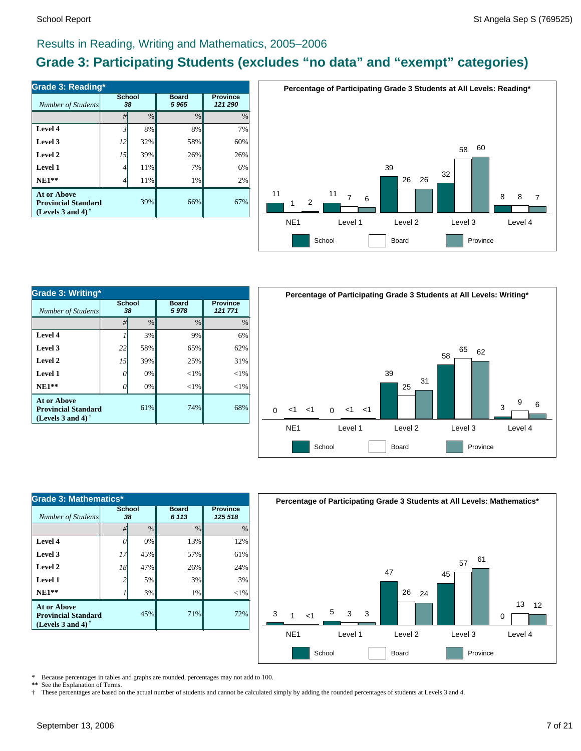# **Grade 3: Participating Students (excludes "no data" and "exempt" categories)**

| Number of Students                                                             | <b>School</b><br>38 |      | <b>Board</b><br>5965 | <b>Province</b><br>121 290 |  |
|--------------------------------------------------------------------------------|---------------------|------|----------------------|----------------------------|--|
|                                                                                | #                   | $\%$ | $\%$                 | $\%$                       |  |
| Level 4                                                                        | 3'                  | 8%   | 8%                   | 7%                         |  |
| Level 3                                                                        | 12                  | 32%  | 58%                  | 60%                        |  |
| Level 2                                                                        | 15                  | 39%  | 26%                  | 26%                        |  |
| Level 1                                                                        | 4                   | 11%  | 7%                   | 6%                         |  |
| $NE1**$                                                                        | 4                   | 11%  | 1%                   | 2%                         |  |
| <b>At or Above</b><br><b>Provincial Standard</b><br>(Levels 3 and 4) $\dagger$ |                     | 39%  | 66%                  | 67%                        |  |



| <b>Grade 3: Writing*</b>                                                 |              |               |                      |                            |  |  |  |
|--------------------------------------------------------------------------|--------------|---------------|----------------------|----------------------------|--|--|--|
| Number of Students                                                       | School<br>38 |               | <b>Board</b><br>5978 | <b>Province</b><br>121 771 |  |  |  |
|                                                                          | #            | $\frac{0}{0}$ | $\frac{0}{0}$        | $\frac{0}{0}$              |  |  |  |
| Level 4                                                                  |              | 3%            | 9%                   | 6%                         |  |  |  |
| Level 3                                                                  | 22           | 58%           | 65%                  | 62%                        |  |  |  |
| Level 2                                                                  | 15           | 39%           | 25%                  | 31%                        |  |  |  |
| Level 1                                                                  | 0            | 0%            | ${<}1\%$             | $<$ 1%                     |  |  |  |
| $NE1**$                                                                  | 0            | 0%            | ${<}1\%$             | $<$ 1%                     |  |  |  |
| <b>At or Above</b><br><b>Provincial Standard</b><br>(Levels 3 and 4) $†$ |              | 61%           | 74%                  | 68%                        |  |  |  |



| Grade 3: Mathematics*                                                                 |                     |               |                         |               |  |  |  |  |
|---------------------------------------------------------------------------------------|---------------------|---------------|-------------------------|---------------|--|--|--|--|
| Number of Students                                                                    | <b>School</b><br>38 |               | <b>Board</b><br>6 1 1 3 |               |  |  |  |  |
|                                                                                       | #                   | $\frac{0}{0}$ | $\frac{0}{0}$           | $\frac{0}{0}$ |  |  |  |  |
| Level 4                                                                               |                     | 0%            | 13%                     | 12%           |  |  |  |  |
| Level 3                                                                               | 17                  | 45%           | 57%                     | 61%           |  |  |  |  |
| Level 2                                                                               | 18                  | 47%           | 26%                     | 24%           |  |  |  |  |
| Level 1                                                                               | 2                   | 5%            | 3%                      | 3%            |  |  |  |  |
| $NE1**$                                                                               |                     | 3%            | 1%                      | $<$ 1%        |  |  |  |  |
| <b>At or Above</b><br>45%<br><b>Provincial Standard</b><br>(Levels 3 and 4) $\dagger$ |                     |               | 71%                     | 72%           |  |  |  |  |



\* Because percentages in tables and graphs are rounded, percentages may not add to 100.

\*\* See the Explanation of Terms.<br>
<sup>†</sup> These percentages are based o

† These percentages are based on the actual number of students and cannot be calculated simply by adding the rounded percentages of students at Levels 3 and 4.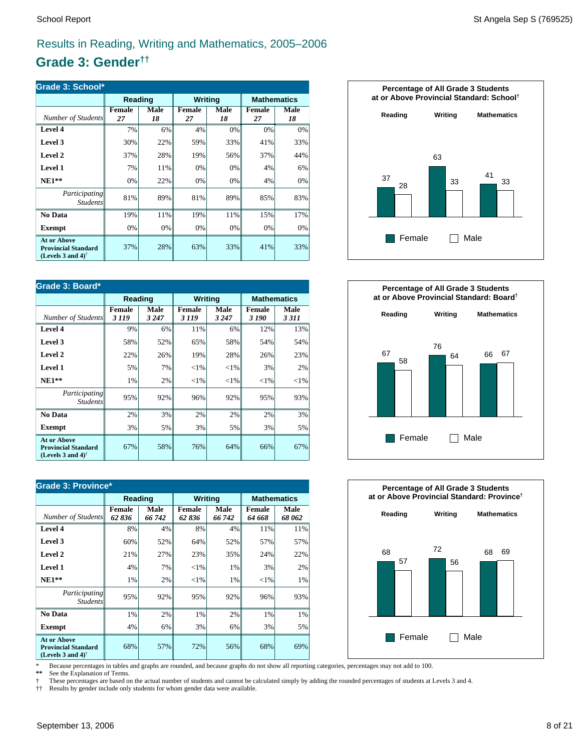# **Grade 3: Gender††**

| Grade 3: School*                                                                  |                     |            |                     |            |              |                    |  |
|-----------------------------------------------------------------------------------|---------------------|------------|---------------------|------------|--------------|--------------------|--|
|                                                                                   | Reading             |            | Writing             |            |              | <b>Mathematics</b> |  |
| Number of Students                                                                | <b>Female</b><br>27 | Male<br>18 | <b>Female</b><br>27 | Male<br>18 | Female<br>27 | Male<br>18         |  |
| Level 4                                                                           | 7%                  | 6%         | 4%                  | 0%         | 0%           | 0%                 |  |
| Level 3                                                                           | 30%                 | 22%        | 59%                 | 33%        | 41%          | 33%                |  |
| Level 2                                                                           | 37%                 | 28%        | 19%                 | 56%        | 37%          | 44%                |  |
| Level 1                                                                           | 7%                  | 11%        | 0%                  | 0%         | 4%           | 6%                 |  |
| $NE1**$                                                                           | 0%                  | 22%        | 0%                  | 0%         | 4%           | 0%                 |  |
| <i>Participating</i><br><b>Students</b>                                           | 81%                 | 89%        | 81%                 | 89%        | 85%          | 83%                |  |
| No Data                                                                           | 19%                 | 11%        | 19%                 | 11%        | 15%          | 17%                |  |
| <b>Exempt</b>                                                                     | 0%                  | 0%         | 0%                  | 0%         | 0%           | 0%                 |  |
| <b>At or Above</b><br><b>Provincial Standard</b><br>(Levels 3 and 4) <sup>†</sup> | 37%                 | 28%        | 63%                 | 33%        | 41%          | 33%                |  |

| Grade 3: Board*                                                                |                          |                        |                         |                 |                        |                 |  |
|--------------------------------------------------------------------------------|--------------------------|------------------------|-------------------------|-----------------|------------------------|-----------------|--|
|                                                                                | Reading                  |                        | <b>Writing</b>          |                 | <b>Mathematics</b>     |                 |  |
| Number of Students                                                             | <b>Female</b><br>3 1 1 9 | <b>Male</b><br>3 2 4 7 | <b>Female</b><br>3 1 19 | Male<br>3 2 4 7 | <b>Female</b><br>3 190 | Male<br>3 3 1 1 |  |
| Level 4                                                                        | 9%                       | 6%                     | 11%                     | 6%              | 12%                    | 13%             |  |
| Level 3                                                                        | 58%                      | 52%                    | 65%                     | 58%             | 54%                    | 54%             |  |
| Level 2                                                                        | 22%                      | 26%                    | 19%                     | 28%             | 26%                    | 23%             |  |
| <b>Level 1</b>                                                                 | 5%                       | 7%                     | ${<}1\%$                | ${<}1\%$        | 3%                     | 2%              |  |
| $NE1**$                                                                        | 1%                       | 2%                     | ${<}1\%$                | ${<}1\%$        | ${<}1\%$               | ${<}1\%$        |  |
| <i>Participating</i><br><i>Students</i>                                        | 95%                      | 92%                    | 96%                     | 92%             | 95%                    | 93%             |  |
| No Data                                                                        | 2%                       | 3%                     | 2%                      | 2%              | 2%                     | 3%              |  |
| <b>Exempt</b>                                                                  | 3%                       | 5%                     | 3%                      | 5%              | 3%                     | 5%              |  |
| <b>At or Above</b><br><b>Provincial Standard</b><br>(Levels 3 and 4) $\dagger$ | 67%                      | 58%                    | 76%                     | 64%             | 66%                    | 67%             |  |

| <b>Grade 3: Province*</b>                                                                            |                 |                |                        |                |                         |                    |  |
|------------------------------------------------------------------------------------------------------|-----------------|----------------|------------------------|----------------|-------------------------|--------------------|--|
|                                                                                                      | Reading         |                |                        | <b>Writing</b> |                         | <b>Mathematics</b> |  |
| Number of Students                                                                                   | Female<br>62836 | Male<br>66 742 | <b>Female</b><br>62836 | Male<br>66 742 | <b>Female</b><br>64 668 | Male<br>68 062     |  |
| Level 4                                                                                              | 8%              | 4%             | 8%                     | 4%             | 11%                     | 11%                |  |
| Level 3                                                                                              | 60%             | 52%            | 64%                    | 52%            | 57%                     | 57%                |  |
| Level 2                                                                                              | 21%             | 27%            | 23%                    | 35%            | 24%                     | 22%                |  |
| Level 1                                                                                              | 4%              | 7%             | ${<}1\%$               | 1%             | 3%                      | 2%                 |  |
| $NE1**$                                                                                              | 1%              | 2%             | ${<}1\%$               | 1%             | ${<}1\%$                | 1%                 |  |
| Participating<br><i>Students</i>                                                                     | 95%             | 92%            | 95%                    | 92%            | 96%                     | 93%                |  |
| No Data                                                                                              | 1%              | 2%             | 1%                     | 2%             | 1%                      | 1%                 |  |
| <b>Exempt</b>                                                                                        | 4%              | 6%             | 3%                     | 6%             | 3%                      | 5%                 |  |
| <b>At or Above</b><br><b>Provincial Standard</b><br>(Levels 3 and 4) <sup><math>\dagger</math></sup> | 68%             | 57%            | 72%                    | 56%            | 68%                     | 69%                |  |







\* Because percentages in tables and graphs are rounded, and because graphs do not show all reporting categories, percentages may not add to 100.

See the Explanation of Terms.

† These percentages are based on the actual number of students and cannot be calculated simply by adding the rounded percentages of students at Levels 3 and 4.<br>†† Results by gender include only students for whom gender dat

†† Results by gender include only students for whom gender data were available.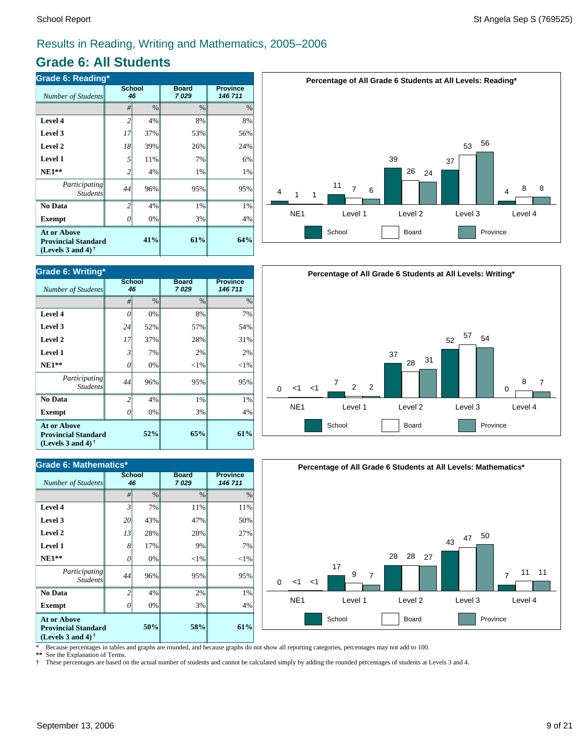# **Grade 6: All Students**

| <b>Grade 6: Reading*</b>                                                                             |                     |     |                      |                            |  |  |  |
|------------------------------------------------------------------------------------------------------|---------------------|-----|----------------------|----------------------------|--|--|--|
| <b>Number of Students</b>                                                                            | <b>School</b><br>46 |     | <b>Board</b><br>7029 | <b>Province</b><br>146 711 |  |  |  |
|                                                                                                      | #                   | %   | $\%$                 | $\%$                       |  |  |  |
| Level 4                                                                                              | $\overline{c}$      | 4%  | 8%                   | 8%                         |  |  |  |
| Level 3                                                                                              | 17                  | 37% | 53%                  | 56%                        |  |  |  |
| Level 2                                                                                              | 18                  | 39% | 26%                  | 24%                        |  |  |  |
| <b>Level 1</b>                                                                                       | 5                   | 11% | 7%                   | 6%                         |  |  |  |
| $NE1**$                                                                                              | 2                   | 4%  | 1%                   | 1%                         |  |  |  |
| Participating<br><b>Students</b>                                                                     | 44                  | 96% | 95%                  | 95%                        |  |  |  |
| No Data                                                                                              | $\overline{c}$      | 4%  | 1%                   | 1%                         |  |  |  |
| <b>Exempt</b>                                                                                        | 0                   | 0%  | 3%                   | 4%                         |  |  |  |
| <b>At or Above</b><br><b>Provincial Standard</b><br>(Levels 3 and 4) <sup><math>\dagger</math></sup> |                     | 41% | 61%                  | 64%                        |  |  |  |



| <b>Grade 6: Mathematics*</b>                                                   |                     |      |                      |                            |  |  |  |
|--------------------------------------------------------------------------------|---------------------|------|----------------------|----------------------------|--|--|--|
| Number of Students                                                             | <b>School</b><br>46 |      | <b>Board</b><br>7029 | <b>Province</b><br>146 711 |  |  |  |
|                                                                                | #                   | $\%$ | $\frac{0}{0}$        | $\%$                       |  |  |  |
| Level 4                                                                        | $\mathfrak{Z}$      | 7%   | 11%                  | 11%                        |  |  |  |
| Level 3                                                                        | 20                  | 43%  | 47%                  | 50%                        |  |  |  |
| Level 2                                                                        | 13                  | 28%  | 28%                  | 27%                        |  |  |  |
| Level 1                                                                        | 8                   | 17%  | 9%                   | 7%                         |  |  |  |
| $NE1**$                                                                        | 0                   | 0%   | $<$ 1%               | $<$ 1%                     |  |  |  |
| Participating<br><b>Students</b>                                               | 44                  | 96%  | 95%                  | 95%                        |  |  |  |
| No Data                                                                        | $\overline{c}$      | 4%   | 2%                   | 1%                         |  |  |  |
| <b>Exempt</b>                                                                  | 0                   | 0%   | 3%                   | 4%                         |  |  |  |
| <b>At or Above</b><br><b>Provincial Standard</b><br>(Levels 3 and 4) $\dagger$ |                     | 50%  | 58%                  | 61%                        |  |  |  |







\* Because percentages in tables and graphs are rounded, and because graphs do not show all reporting categories, percentages may not add to 100.<br>\*\* See the Explanation of Terms

See the Explanation of Terms.

† These percentages are based on the actual number of students and cannot be calculated simply by adding the rounded percentages of students at Levels 3 and 4.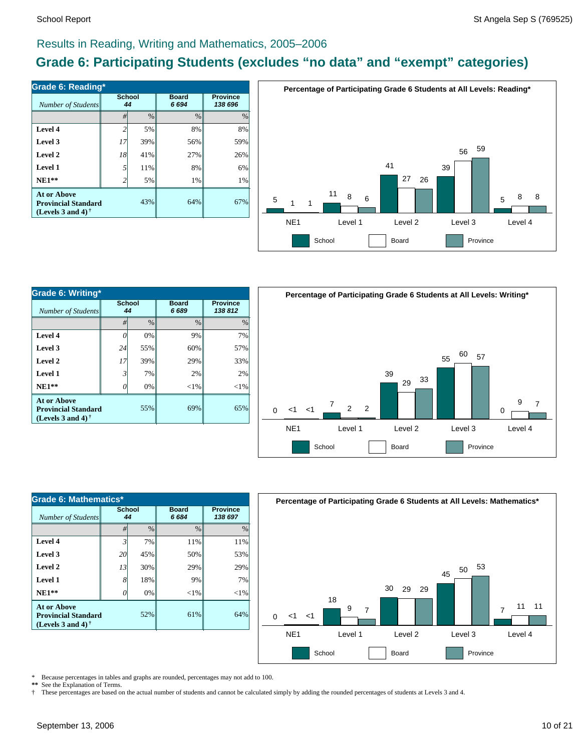# **Grade 6: Participating Students (excludes "no data" and "exempt" categories)**

| Number of Students                                                                                   | School<br>44   |      | <b>Board</b><br>6694 | <b>Province</b><br>138 696 |  |
|------------------------------------------------------------------------------------------------------|----------------|------|----------------------|----------------------------|--|
|                                                                                                      | #              | $\%$ | $\frac{0}{0}$        | $\frac{0}{0}$              |  |
| Level 4                                                                                              | $\overline{c}$ | 5%   | 8%                   | 8%                         |  |
| Level 3                                                                                              | 17             | 39%  | 56%                  | 59%                        |  |
| Level 2                                                                                              | 18             | 41%  | 27%                  | 26%                        |  |
| Level 1                                                                                              | 5              | 11%  | 8%                   | 6%                         |  |
| $NE1**$                                                                                              | $\overline{c}$ | 5%   | 1%                   | 1%                         |  |
| <b>At or Above</b><br><b>Provincial Standard</b><br>(Levels 3 and 4) <sup><math>\dagger</math></sup> |                | 43%  | 64%                  | 67%                        |  |



| Grade 6: Writing*                                                              |                     |               |                      |        |  |  |  |
|--------------------------------------------------------------------------------|---------------------|---------------|----------------------|--------|--|--|--|
| Number of Students                                                             | <b>School</b><br>44 |               | <b>Board</b><br>6689 |        |  |  |  |
|                                                                                | #                   | $\frac{0}{0}$ | $\frac{0}{0}$        | $\%$   |  |  |  |
| Level 4                                                                        | 0                   | 0%            | 9%                   | 7%     |  |  |  |
| Level 3                                                                        | 24                  | 55%           | 60%                  | 57%    |  |  |  |
| Level 2                                                                        | 17                  | 39%           | 29%                  | 33%    |  |  |  |
| Level 1                                                                        | 3                   | 7%            | 2%                   | 2%     |  |  |  |
| $NE1**$                                                                        | 0                   | 0%            | $<$ 1%               | $<$ 1% |  |  |  |
| <b>At or Above</b><br><b>Provincial Standard</b><br>(Levels 3 and 4) $\dagger$ |                     | 55%           | 69%                  | 65%    |  |  |  |



| Grade 6: Mathematics*                                                   |              |               |                      |                            |  |  |  |
|-------------------------------------------------------------------------|--------------|---------------|----------------------|----------------------------|--|--|--|
| Number of Students                                                      | School<br>44 |               | <b>Board</b><br>6684 | <b>Province</b><br>138 697 |  |  |  |
|                                                                         | #            | $\frac{0}{0}$ | $\frac{0}{0}$        | $\%$                       |  |  |  |
| Level 4                                                                 | 3            | 7%            | 11%                  | 11%                        |  |  |  |
| Level 3                                                                 | 20           | 45%           | 50%                  | 53%                        |  |  |  |
| Level 2                                                                 | 13           | 30%           | 29%                  | 29%                        |  |  |  |
| Level 1                                                                 | 8            | 18%           | 9%                   | 7%                         |  |  |  |
| $NE1**$                                                                 | 0            | 0%            | $<$ 1%               | $<$ 1%                     |  |  |  |
| At or Above<br><b>Provincial Standard</b><br>(Levels 3 and 4) $\dagger$ |              | 52%           | 61%                  | 64%                        |  |  |  |



\* Because percentages in tables and graphs are rounded, percentages may not add to 100.

\*\* See the Explanation of Terms.<br>
<sup>†</sup> These percentages are based o † These percentages are based on the actual number of students and cannot be calculated simply by adding the rounded percentages of students at Levels 3 and 4.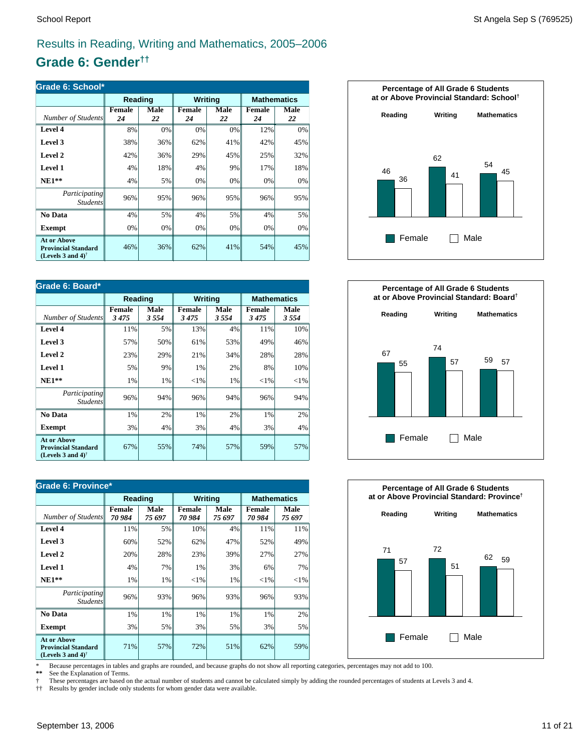# **Grade 6: Gender††**

| Grade 6: School*                                                                                     |              |            |                     |            |                     |            |  |
|------------------------------------------------------------------------------------------------------|--------------|------------|---------------------|------------|---------------------|------------|--|
|                                                                                                      | Reading      |            | Writing             |            | <b>Mathematics</b>  |            |  |
| Number of Students                                                                                   | Female<br>24 | Male<br>22 | <b>Female</b><br>24 | Male<br>22 | <b>Female</b><br>24 | Male<br>22 |  |
| Level 4                                                                                              | 8%           | 0%         | 0%                  | 0%         | 12%                 | 0%         |  |
| Level 3                                                                                              | 38%          | 36%        | 62%                 | 41%        | 42%                 | 45%        |  |
| Level 2                                                                                              | 42%          | 36%        | 29%                 | 45%        | 25%                 | 32%        |  |
| <b>Level 1</b>                                                                                       | 4%           | 18%        | 4%                  | 9%         | 17%                 | 18%        |  |
| $NE1**$                                                                                              | 4%           | 5%         | 0%                  | 0%         | 0%                  | 0%         |  |
| Participating<br><b>Students</b>                                                                     | 96%          | 95%        | 96%                 | 95%        | 96%                 | 95%        |  |
| No Data                                                                                              | 4%           | 5%         | 4%                  | 5%         | 4%                  | 5%         |  |
| <b>Exempt</b>                                                                                        | 0%           | 0%         | 0%                  | 0%         | 0%                  | 0%         |  |
| <b>At or Above</b><br><b>Provincial Standard</b><br>(Levels 3 and 4) <sup><math>\dagger</math></sup> | 46%          | 36%        | 62%                 | 41%        | 54%                 | 45%        |  |

| Grade 6: Board*                                                                                      |                |              |                       |              |                |                    |  |
|------------------------------------------------------------------------------------------------------|----------------|--------------|-----------------------|--------------|----------------|--------------------|--|
|                                                                                                      | Reading        |              | <b>Writing</b>        |              |                | <b>Mathematics</b> |  |
| Number of Students                                                                                   | Female<br>3475 | Male<br>3554 | <b>Female</b><br>3475 | Male<br>3554 | Female<br>3475 | Male<br>3554       |  |
| Level 4                                                                                              | 11%            | 5%           | 13%                   | 4%           | 11%            | 10%                |  |
| Level 3                                                                                              | 57%            | 50%          | 61%                   | 53%          | 49%            | 46%                |  |
| Level 2                                                                                              | 23%            | 29%          | 21%                   | 34%          | 28%            | 28%                |  |
| <b>Level 1</b>                                                                                       | 5%             | 9%           | 1%                    | 2%           | 8%             | 10%                |  |
| $NE1**$                                                                                              | 1%             | $1\%$        | ${<}1\%$              | 1%           | ${<}1\%$       | ${<}1\%$           |  |
| Participating<br><i>Students</i>                                                                     | 96%            | 94%          | 96%                   | 94%          | 96%            | 94%                |  |
| No Data                                                                                              | 1%             | 2%           | 1%                    | 2%           | 1%             | 2%                 |  |
| <b>Exempt</b>                                                                                        | 3%             | 4%           | 3%                    | 4%           | 3%             | 4%                 |  |
| <b>At or Above</b><br><b>Provincial Standard</b><br>(Levels 3 and 4) <sup><math>\dagger</math></sup> | 67%            | 55%          | 74%                   | 57%          | 59%            | 57%                |  |

| Grade 6: Province*                                                                                   |                         |                |                         |                       |                         |                    |  |
|------------------------------------------------------------------------------------------------------|-------------------------|----------------|-------------------------|-----------------------|-------------------------|--------------------|--|
|                                                                                                      | Reading                 |                | <b>Writing</b>          |                       |                         | <b>Mathematics</b> |  |
| Number of Students                                                                                   | <b>Female</b><br>70 984 | Male<br>75 697 | <b>Female</b><br>70 984 | <b>Male</b><br>75 697 | <b>Female</b><br>70 984 | Male<br>75 697     |  |
| Level 4                                                                                              | 11%                     | 5%             | 10%                     | 4%                    | 11%                     | 11%                |  |
| Level 3                                                                                              | 60%                     | 52%            | 62%                     | 47%                   | 52%                     | 49%                |  |
| Level 2                                                                                              | 20%                     | 28%            | 23%                     | 39%                   | 27%                     | 27%                |  |
| <b>Level 1</b>                                                                                       | 4%                      | 7%             | 1%                      | 3%                    | 6%                      | 7%                 |  |
| $NE1**$                                                                                              | 1%                      | 1%             | ${<}1\%$                | 1%                    | ${<}1\%$                | ${<}1\%$           |  |
| Participating<br><b>Students</b>                                                                     | 96%                     | 93%            | 96%                     | 93%                   | 96%                     | 93%                |  |
| No Data                                                                                              | 1%                      | 1%             | 1%                      | 1%                    | 1%                      | 2%                 |  |
| <b>Exempt</b>                                                                                        | 3%                      | 5%             | 3%                      | 5%                    | 3%                      | 5%                 |  |
| <b>At or Above</b><br><b>Provincial Standard</b><br>(Levels 3 and 4) <sup><math>\dagger</math></sup> | 71%                     | 57%            | 72%                     | 51%                   | 62%                     | 59%                |  |







\* Because percentages in tables and graphs are rounded, and because graphs do not show all reporting categories, percentages may not add to 100.

See the Explanation of Terms.

† These percentages are based on the actual number of students and cannot be calculated simply by adding the rounded percentages of students at Levels 3 and 4.<br>†† Results by gender include only students for whom gender dat

†† Results by gender include only students for whom gender data were available.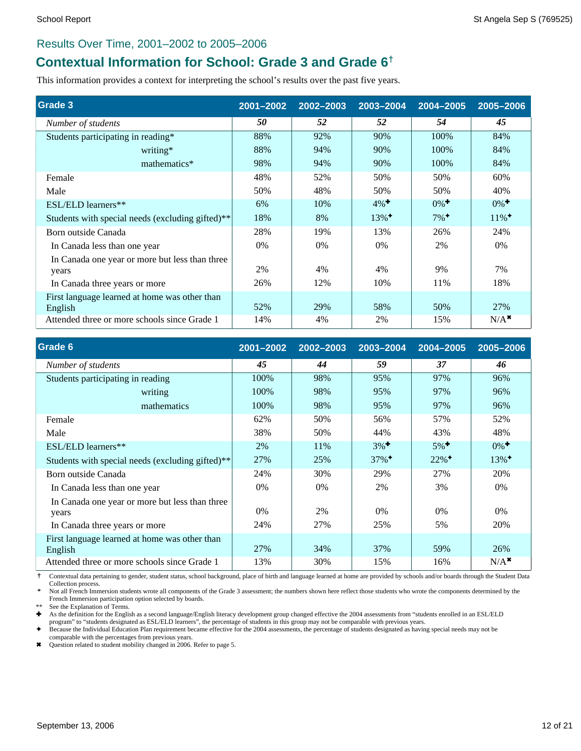### Results Over Time, 2001–2002 to 2005–2006

# **Contextual Information for School: Grade 3 and Grade 6†**

This information provides a context for interpreting the school's results over the past five years.

| Grade 3                                                  | 2001-2002 | 2002-2003 | 2003-2004           | 2004-2005          | 2005-2006           |
|----------------------------------------------------------|-----------|-----------|---------------------|--------------------|---------------------|
| Number of students                                       | 50        | 52        | 52                  | 54                 | 45                  |
| Students participating in reading*                       | 88%       | 92%       | 90%                 | 100%               | 84%                 |
| writing*                                                 | 88%       | 94%       | 90%                 | 100%               | 84%                 |
| mathematics*                                             | 98%       | 94%       | 90%                 | 100%               | 84%                 |
| Female                                                   | 48%       | 52%       | 50%                 | 50%                | 60%                 |
| Male                                                     | 50%       | 48%       | 50%                 | 50%                | 40%                 |
| ESL/ELD learners**                                       | 6%        | 10%       | $4\%$ <sup>+</sup>  | $0\%$ <sup>+</sup> | $0\%$ <sup>+</sup>  |
| Students with special needs (excluding gifted)**         | 18%       | 8%        | $13\%$ <sup>+</sup> | $7\%$ <sup>+</sup> | $11\%$ <sup>+</sup> |
| Born outside Canada                                      | 28%       | 19%       | 13%                 | 26%                | 24%                 |
| In Canada less than one year                             | $0\%$     | $0\%$     | $0\%$               | 2%                 | $0\%$               |
| In Canada one year or more but less than three           |           |           |                     |                    |                     |
| years                                                    | 2%        | 4%        | 4%                  | 9%                 | 7%                  |
| In Canada three years or more                            | 26%       | 12%       | 10%                 | 11%                | 18%                 |
| First language learned at home was other than<br>English | 52%       | 29%       | 58%                 | 50%                | 27%                 |
| Attended three or more schools since Grade 1             | 14%       | 4%        | 2%                  | 15%                | $N/A^*$             |

| Grade 6                                                  | 2001-2002 | 2002-2003 | 2003-2004           | 2004-2005           | 2005-2006           |
|----------------------------------------------------------|-----------|-----------|---------------------|---------------------|---------------------|
| Number of students                                       | 45        | 44        | 59                  | 37                  | 46                  |
| Students participating in reading                        | 100%      | 98%       | 95%                 | 97%                 | 96%                 |
| writing                                                  | 100%      | 98%       | 95%                 | 97%                 | 96%                 |
| mathematics                                              | 100%      | 98%       | 95%                 | 97%                 | 96%                 |
| Female                                                   | 62%       | 50%       | 56%                 | 57%                 | 52%                 |
| Male                                                     | 38%       | 50%       | 44%                 | 43%                 | 48%                 |
| ESL/ELD learners**                                       | 2%        | 11%       | $3\%$ <sup>+</sup>  | $5\%$ <sup>+</sup>  | $0\%$ <sup>+</sup>  |
| Students with special needs (excluding gifted)**         | 27%       | 25%       | $37\%$ <sup>+</sup> | $22\%$ <sup>+</sup> | $13\%$ <sup>+</sup> |
| Born outside Canada                                      | 24%       | 30%       | 29%                 | 27%                 | 20%                 |
| In Canada less than one year                             | $0\%$     | $0\%$     | 2%                  | 3%                  | $0\%$               |
| In Canada one year or more but less than three           | $0\%$     | 2%        | $0\%$               | $0\%$               | 0%                  |
| years<br>In Canada three years or more                   | 24%       | 27%       | 25%                 | 5%                  | 20%                 |
| First language learned at home was other than<br>English | 27%       | 34%       | 37%                 | 59%                 | 26%                 |
| Attended three or more schools since Grade 1             | 13%       | 30%       | 15%                 | 16%                 | $N/A^*$             |

 **†** Contextual data pertaining to gender, student status, school background, place of birth and language learned at home are provided by schools and/or boards through the Student Data Collection process.

 **\*** Not all French Immersion students wrote all components of the Grade 3 assessment; the numbers shown here reflect those students who wrote the components determined by the French Immersion participation option selected by boards.

See the Explanation of Terms.

Ì As the definition for the English as a second language/English literacy development group changed effective the 2004 assessments from "students enrolled in an ESL/ELD

program" to "students designated as ESL/ELD learners", the percentage of students in this group may not be comparable with previous years.<br>♦ Because the Individual Education Plan requirement became effective for the 2004 comparable with the percentages from previous years.

\* Question related to student mobility changed in 2006. Refer to page 5.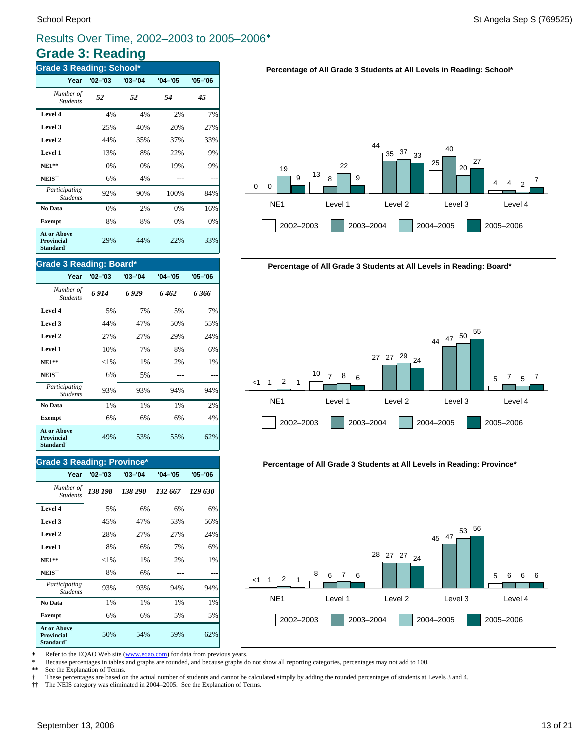# **Grade 3: Reading**

| <b>Grade 3 Reading: School*</b>                                  |             |             |             |             |  |  |  |
|------------------------------------------------------------------|-------------|-------------|-------------|-------------|--|--|--|
| Year                                                             | $'02 - '03$ | $'03 - '04$ | $'04 - '05$ | $'05 - '06$ |  |  |  |
| Number of<br><b>Students</b>                                     | 52          | 52          | 54          | 45          |  |  |  |
| Level 4                                                          | 4%          | 4%          | 2%          | 7%          |  |  |  |
| Level 3                                                          | 25%         | 40%         | 20%         | 27%         |  |  |  |
| Level 2                                                          | 44%         | 35%         | 37%         | 33%         |  |  |  |
| Level 1                                                          | 13%         | 8%          | 22%         | 9%          |  |  |  |
| $NE1**$                                                          | 0%          | 0%          | 19%         | 9%          |  |  |  |
| NEIS <sup>††</sup>                                               | 6%          | 4%          |             |             |  |  |  |
| Participating<br><b>Students</b>                                 | 92%         | 90%         | 100%        | 84%         |  |  |  |
| No Data                                                          | 0%          | 2%          | 0%          | 16%         |  |  |  |
| <b>Exempt</b>                                                    | 8%          | 8%          | 0%          | 0%          |  |  |  |
| <b>At or Above</b><br>Provincial<br><b>Standard</b> <sup>†</sup> | 29%         | 44%         | 22%         | 33%         |  |  |  |

### **Grade 3 Reading: Board\***

| Year                                                                    | $'02 - '03$ | $'03 - '04$ | $'04 - '05$ | $'05 - '06$ |
|-------------------------------------------------------------------------|-------------|-------------|-------------|-------------|
| Number of<br><b>Students</b>                                            | 6914        | 6 929       | 6462        | 6366        |
| Level 4                                                                 | 5%          | 7%          | 5%          | 7%          |
| Level 3                                                                 | 44%         | 47%         | 50%         | 55%         |
| Level 2                                                                 | 27%         | 27%         | 29%         | 24%         |
| Level 1                                                                 | 10%         | 7%          | 8%          | 6%          |
| $NE1**$                                                                 | ${<}1\%$    | 1%          | 2%          | 1%          |
| NEIS <sup>††</sup>                                                      | 6%          | 5%          |             |             |
| Participating<br><b>Students</b>                                        | 93%         | 93%         | 94%         | 94%         |
| No Data                                                                 | 1%          | $1\%$       | $1\%$       | 2%          |
| <b>Exempt</b>                                                           | 6%          | 6%          | 6%          | 4%          |
| <b>At or Above</b><br><b>Provincial</b><br><b>Standard</b> <sup>†</sup> | 49%         | 53%         | 55%         | 62%         |

### **Grade 3 Reading: Province\***

| Year                                                                    | $'02 - '03$ | $'03 - '04$ | $'04 - '05$ | $'05 - '06$ |
|-------------------------------------------------------------------------|-------------|-------------|-------------|-------------|
| Number of<br><b>Students</b>                                            | 138 198     | 138 290     | 132 667     | 129 630     |
| Level 4                                                                 | 5%          | 6%          | 6%          | 6%          |
| Level 3                                                                 | 45%         | 47%         | 53%         | 56%         |
| Level 2                                                                 | 28%         | 27%         | 27%         | 24%         |
| Level 1                                                                 | 8%          | 6%          | 7%          | 6%          |
| $NE1**$                                                                 | ${<}1\%$    | 1%          | 2%          | 1%          |
| NEIS <sup>††</sup>                                                      | 8%          | 6%          |             |             |
| Participating<br><b>Students</b>                                        | 93%         | 93%         | 94%         | 94%         |
| No Data                                                                 | 1%          | 1%          | 1%          | 1%          |
| <b>Exempt</b>                                                           | 6%          | 6%          | 5%          | 5%          |
| <b>At or Above</b><br><b>Provincial</b><br><b>Standard</b> <sup>†</sup> | 50%         | 54%         | 59%         | 62%         |





**Percentage of All Grade 3 Students at All Levels in Reading: Province\***



• Refer to the EQAO Web site (www.eqao.com) for data from previous years.

\* Because percentages in tables and graphs are rounded, and because graphs do not show all reporting categories, percentages may not add to 100.

**\*\*** See the Explanation of Terms.

† These percentages are based on the actual number of students and cannot be calculated simply by adding the rounded percentages of students at Levels 3 and 4.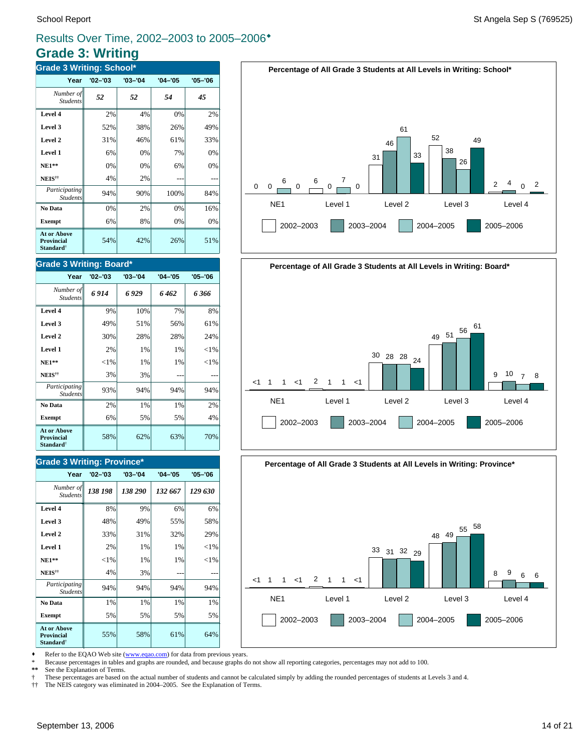# **Grade 3: Writing**

| <b>Grade 3 Writing: School*</b>                                  |             |             |             |             |  |
|------------------------------------------------------------------|-------------|-------------|-------------|-------------|--|
| Year                                                             | $'02 - '03$ | $'03 - '04$ | $'04 - '05$ | $'05 - '06$ |  |
| Number of<br><b>Students</b>                                     | 52          | 52          | 54          | 45          |  |
| Level 4                                                          | 2%          | 4%          | 0%          | 2%          |  |
| Level 3                                                          | 52%         | 38%         | 26%         | 49%         |  |
| Level 2                                                          | 31%         | 46%         | 61%         | 33%         |  |
| Level 1                                                          | 6%          | 0%          | 7%          | 0%          |  |
| $NE1**$                                                          | 0%          | 0%          | 6%          | 0%          |  |
| NEIS <sup>††</sup>                                               | 4%          | 2%          |             |             |  |
| Participating<br><b>Students</b>                                 | 94%         | 90%         | 100%        | 84%         |  |
| No Data                                                          | 0%          | 2%          | 0%          | 16%         |  |
| <b>Exempt</b>                                                    | 6%          | 8%          | 0%          | 0%          |  |
| <b>At or Above</b><br>Provincial<br><b>Standard</b> <sup>†</sup> | 54%         | 42%         | 26%         | 51%         |  |

### **Grade 3 Writing: Board\***

| Year                                                                    | $'02 - '03$ | $'03 - '04$ | $'04 - '05$ | $'05 - '06$ |
|-------------------------------------------------------------------------|-------------|-------------|-------------|-------------|
| Number of<br><b>Students</b>                                            | 6914        | 6929        | 6462        | 6 366       |
| Level 4                                                                 | 9%          | 10%         | 7%          | 8%          |
| Level 3                                                                 | 49%         | 51%         | 56%         | 61%         |
| Level 2                                                                 | 30%         | 28%         | 28%         | 24%         |
| Level 1                                                                 | 2%          | 1%          | 1%          | ${<}1\%$    |
| $NE1**$                                                                 | $<$ 1%      | $1\%$       | 1%          | ${<}1\%$    |
| NEIS <sup>††</sup>                                                      | 3%          | 3%          |             |             |
| Participating<br><b>Students</b>                                        | 93%         | 94%         | 94%         | 94%         |
| No Data                                                                 | 2%          | 1%          | 1%          | 2%          |
| <b>Exempt</b>                                                           | 6%          | 5%          | 5%          | 4%          |
| <b>At or Above</b><br><b>Provincial</b><br><b>Standard</b> <sup>†</sup> | 58%         | 62%         | 63%         | 70%         |

### **Grade 3 Writing: Province\***

| Year                                                                    | $'02 - '03$ | $'03 - '04$ | $'04 - '05$ | $'05 - '06$ |
|-------------------------------------------------------------------------|-------------|-------------|-------------|-------------|
| Number of<br><b>Students</b>                                            | 138 198     | 138 290     | 132 667     | 129 630     |
| Level 4                                                                 | 8%          | 9%          | 6%          | 6%          |
| Level 3                                                                 | 48%         | 49%         | 55%         | 58%         |
| Level 2                                                                 | 33%         | 31%         | 32%         | 29%         |
| Level 1                                                                 | 2%          | 1%          | 1%          | ${<}1\%$    |
| $NE1**$                                                                 | ${<}1\%$    | 1%          | $1\%$       | ${<}1\%$    |
| NEIS <sup>††</sup>                                                      | 4%          | 3%          |             |             |
| Participating<br><b>Students</b>                                        | 94%         | 94%         | 94%         | 94%         |
| No Data                                                                 | 1%          | 1%          | 1%          | 1%          |
| <b>Exempt</b>                                                           | 5%          | 5%          | 5%          | 5%          |
| <b>At or Above</b><br><b>Provincial</b><br><b>Standard</b> <sup>†</sup> | 55%         | 58%         | 61%         | 64%         |







• Refer to the EQAO Web site (www.eqao.com) for data from previous years.

\* Because percentages in tables and graphs are rounded, and because graphs do not show all reporting categories, percentages may not add to 100.

**\*\*** See the Explanation of Terms.

† These percentages are based on the actual number of students and cannot be calculated simply by adding the rounded percentages of students at Levels 3 and 4.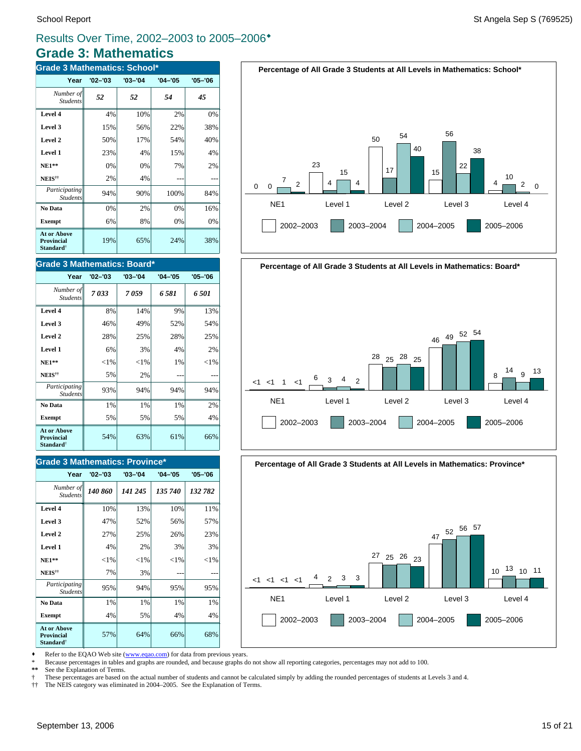## **Grade 3: Mathematics** Results Over Time, 2002–2003 to 2005–2006<sup>\*</sup>

| <b>Grade 3 Mathematics: School*</b>                              |             |             |             |             |  |
|------------------------------------------------------------------|-------------|-------------|-------------|-------------|--|
| Year                                                             | $'02 - '03$ | $'03 - '04$ | $'04 - '05$ | $'05 - '06$ |  |
| Number of<br><b>Students</b>                                     | 52          | 52          | 54          | 45          |  |
| Level 4                                                          | 4%          | 10%         | 2%          | 0%          |  |
| Level 3                                                          | 15%         | 56%         | 22%         | 38%         |  |
| Level 2                                                          | 50%         | 17%         | 54%         | 40%         |  |
| Level 1                                                          | 23%         | 4%          | 15%         | 4%          |  |
| $NE1**$                                                          | 0%          | 0%          | 7%          | 2%          |  |
| NEIS <sup>††</sup>                                               | 2%          | 4%          |             |             |  |
| Participating<br><b>Students</b>                                 | 94%         | 90%         | 100%        | 84%         |  |
| No Data                                                          | 0%          | 2%          | 0%          | 16%         |  |
| <b>Exempt</b>                                                    | 6%          | 8%          | 0%          | 0%          |  |
| <b>At or Above</b><br>Provincial<br><b>Standard</b> <sup>†</sup> | 19%         | 65%         | 24%         | 38%         |  |

#### **Grade 3 Mathematics: Board\***

| Year                                                                    | $'02 - '03$ | $'03 - '04$ | $'04 - '05$ | $'05 - '06$ |
|-------------------------------------------------------------------------|-------------|-------------|-------------|-------------|
| Number of<br><b>Students</b>                                            | 7033        | 7059        | 6581        | 6501        |
| Level 4                                                                 | 8%          | 14%         | 9%          | 13%         |
| Level 3                                                                 | 46%         | 49%         | 52%         | 54%         |
| Level 2                                                                 | 28%         | 25%         | 28%         | 25%         |
| Level 1                                                                 | 6%          | 3%          | 4%          | 2%          |
| $NE1**$                                                                 | ${<}1\%$    | ${<}1\%$    | 1%          | ${<}1\%$    |
| <b>NEIS</b> <sup>††</sup>                                               | 5%          | 2%          |             |             |
| Participating<br><b>Students</b>                                        | 93%         | 94%         | 94%         | 94%         |
| No Data                                                                 | 1%          | 1%          | 1%          | 2%          |
| <b>Exempt</b>                                                           | 5%          | 5%          | 5%          | 4%          |
| <b>At or Above</b><br><b>Provincial</b><br><b>Standard</b> <sup>†</sup> | 54%         | 63%         | 61%         | 66%         |

#### **Grade 3 Mathematics: Province\***

| Year                                                                    | $'02 - '03$ | $'03 - '04$ | $'04 - '05$ | $'05 - '06$ |
|-------------------------------------------------------------------------|-------------|-------------|-------------|-------------|
| Number of<br><b>Students</b>                                            | 140 860     | 141 245     | 135 740     | 132 782     |
| Level 4                                                                 | 10%         | 13%         | 10%         | 11%         |
| Level 3                                                                 | 47%         | 52%         | 56%         | 57%         |
| Level 2                                                                 | 27%         | 25%         | 26%         | 23%         |
| Level 1                                                                 | 4%          | 2%          | 3%          | 3%          |
| <b>NE1**</b>                                                            | $<$ 1%      | ${<}1\%$    | ${<}1\%$    | ${<}1\%$    |
| NEIS <sup>††</sup>                                                      | 7%          | 3%          |             |             |
| Participating<br><b>Students</b>                                        | 95%         | 94%         | 95%         | 95%         |
| No Data                                                                 | 1%          | 1%          | $1\%$       | 1%          |
| <b>Exempt</b>                                                           | 4%          | 5%          | 4%          | 4%          |
| <b>At or Above</b><br><b>Provincial</b><br><b>Standard</b> <sup>†</sup> | 57%         | 64%         | 66%         | 68%         |





**Percentage of All Grade 3 Students at All Levels in Mathematics: Province\***



• Refer to the EQAO Web site (www.eqao.com) for data from previous years.

\* Because percentages in tables and graphs are rounded, and because graphs do not show all reporting categories, percentages may not add to 100.

**\*\*** See the Explanation of Terms.

† These percentages are based on the actual number of students and cannot be calculated simply by adding the rounded percentages of students at Levels 3 and 4.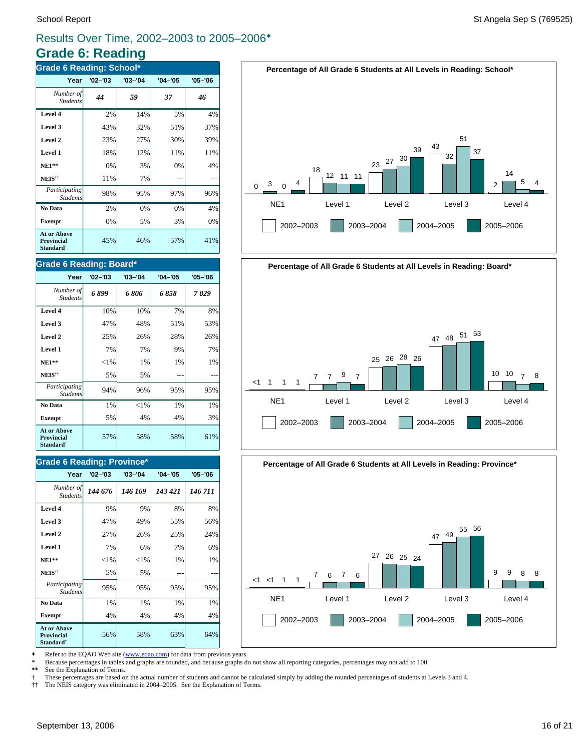# **Grade 6: Reading**

| <b>Grade 6 Reading: School*</b>                                  |             |             |             |             |
|------------------------------------------------------------------|-------------|-------------|-------------|-------------|
| Year                                                             | $'02 - '03$ | $'03 - '04$ | $'04 - '05$ | $'05 - '06$ |
| Number of<br><b>Students</b>                                     | 44          | 59          | 37          | 46          |
| Level 4                                                          | 2%          | 14%         | 5%          | 4%          |
| Level 3                                                          | 43%         | 32%         | 51%         | 37%         |
| Level 2                                                          | 23%         | 27%         | 30%         | 39%         |
| Level 1                                                          | 18%         | 12%         | 11%         | 11%         |
| $NE1**$                                                          | 0%          | 3%          | 0%          | 4%          |
| NEIS <sup>††</sup>                                               | 11%         | 7%          |             |             |
| Participating<br><b>Students</b>                                 | 98%         | 95%         | 97%         | 96%         |
| No Data                                                          | 2%          | 0%          | 0%          | 4%          |
| <b>Exempt</b>                                                    | 0%          | 5%          | 3%          | 0%          |
| At or Above<br><b>Provincial</b><br><b>Standard</b> <sup>†</sup> | 45%         | 46%         | 57%         | 41%         |

### **Grade 6 Reading: Board\***

| Year                                                                    | $'02 - '03$ | $'03 - '04$ | $'04 - '05$ | $'05 - '06$ |
|-------------------------------------------------------------------------|-------------|-------------|-------------|-------------|
| Number of<br><b>Students</b>                                            | 6899        | 6 806       | 6 858       | 7029        |
| Level 4                                                                 | 10%         | 10%         | 7%          | 8%          |
| Level 3                                                                 | 47%         | 48%         | 51%         | 53%         |
| Level 2                                                                 | 25%         | 26%         | 28%         | 26%         |
| Level 1                                                                 | 7%          | 7%          | 9%          | 7%          |
| <b>NE1**</b>                                                            | ${<}1\%$    | 1%          | 1%          | 1%          |
| NEIS <sup>††</sup>                                                      | 5%          | 5%          |             |             |
| Participating<br><b>Students</b>                                        | 94%         | 96%         | 95%         | 95%         |
| No Data                                                                 | 1%          | ${<}1\%$    | 1%          | 1%          |
| <b>Exempt</b>                                                           | 5%          | 4%          | 4%          | 3%          |
| <b>At or Above</b><br><b>Provincial</b><br><b>Standard</b> <sup>†</sup> | 57%         | 58%         | 58%         | 61%         |

### **Grade 6 Reading: Province\***

| Year                                                             | $'02 - '03$ | $'03 - '04$ | $'04 - '05$ | $'05 - '06$ |
|------------------------------------------------------------------|-------------|-------------|-------------|-------------|
| Number of<br><b>Students</b>                                     | 144 676     | 146 169     | 143 421     | 146 711     |
| Level 4                                                          | 9%          | 9%          | 8%          | 8%          |
| Level 3                                                          | 47%         | 49%         | 55%         | 56%         |
| Level 2                                                          | 27%         | 26%         | 25%         | 24%         |
| Level 1                                                          | 7%          | 6%          | 7%          | 6%          |
| $NE1**$                                                          | ${<}1\%$    | $<$ 1%      | 1%          | 1%          |
| NEIS <sup>††</sup>                                               | 5%          | 5%          |             |             |
| Participating<br><b>Students</b>                                 | 95%         | 95%         | 95%         | 95%         |
| No Data                                                          | 1%          | 1%          | 1%          | 1%          |
| <b>Exempt</b>                                                    | 4%          | 4%          | 4%          | 4%          |
| <b>At or Above</b><br>Provincial<br><b>Standard</b> <sup>†</sup> | 56%         | 58%         | 63%         | 64%         |





**Percentage of All Grade 6 Students at All Levels in Reading: Province\***



• Refer to the EQAO Web site (www.eqao.com) for data from previous years.

\* Because percentages in tables and graphs are rounded, and because graphs do not show all reporting categories, percentages may not add to 100.

**\*\*** See the Explanation of Terms.

 $\dagger$  These percentages are based on the actual number of students and cannot be calculated simply by adding the rounded percentages of students at Levels 3 and 4.<br> $\dagger\uparrow$  The NEIS category was eliminated in 2004–2005. See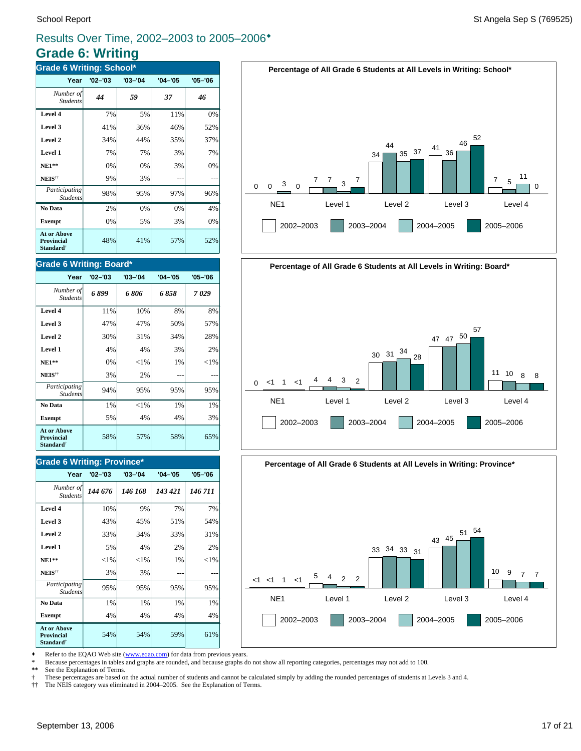# **Grade 6: Writing**

| <b>Grade 6 Writing: School*</b>                                  |             |             |             |             |  |
|------------------------------------------------------------------|-------------|-------------|-------------|-------------|--|
| Year                                                             | $'02 - '03$ | $'03 - '04$ | $'04 - '05$ | $'05 - '06$ |  |
| Number of<br><b>Students</b>                                     | 44          | 59          | 37          | 46          |  |
| Level 4                                                          | 7%          | 5%          | 11%         | 0%          |  |
| Level 3                                                          | 41%         | 36%         | 46%         | 52%         |  |
| Level 2                                                          | 34%         | 44%         | 35%         | 37%         |  |
| Level 1                                                          | 7%          | 7%          | 3%          | 7%          |  |
| <b>NE1**</b>                                                     | 0%          | 0%          | 3%          | 0%          |  |
| NEIS <sup>††</sup>                                               | 9%          | 3%          | ---         |             |  |
| Participating<br><b>Students</b>                                 | 98%         | 95%         | 97%         | 96%         |  |
| No Data                                                          | 2%          | 0%          | 0%          | 4%          |  |
| <b>Exempt</b>                                                    | 0%          | 5%          | 3%          | 0%          |  |
| <b>At or Above</b><br>Provincial<br><b>Standard</b> <sup>†</sup> | 48%         | 41%         | 57%         | 52%         |  |

### **Grade 6 Writing: Board\***

| Year                                                                    | $'02 - '03$ | $'03 - '04$ | $'04 - '05$ | $'05 - '06$ |
|-------------------------------------------------------------------------|-------------|-------------|-------------|-------------|
| Number of<br><b>Students</b>                                            | 6899        | 6 806       | 6 858       | 7029        |
| Level 4                                                                 | 11%         | 10%         | 8%          | 8%          |
| Level 3                                                                 | 47%         | 47%         | 50%         | 57%         |
| Level 2                                                                 | 30%         | 31%         | 34%         | 28%         |
| Level 1                                                                 | 4%          | 4%          | 3%          | 2%          |
| <b>NE1**</b>                                                            | 0%          | ${<}1\%$    | 1%          | ${<}1\%$    |
| NEIS <sup>††</sup>                                                      | 3%          | 2%          |             |             |
| Participating<br><b>Students</b>                                        | 94%         | 95%         | 95%         | 95%         |
| No Data                                                                 | 1%          | ${<}1\%$    | 1%          | 1%          |
| <b>Exempt</b>                                                           | 5%          | 4%          | 4%          | 3%          |
| <b>At or Above</b><br><b>Provincial</b><br><b>Standard</b> <sup>†</sup> | 58%         | 57%         | 58%         | 65%         |

### **Grade 6 Writing: Province\***

| Year                                                                    | $'02 - '03$ | $'03 - '04$ | $'04 - '05$ | $'05 - '06$ |
|-------------------------------------------------------------------------|-------------|-------------|-------------|-------------|
| Number of<br><b>Students</b>                                            | 144 676     | 146 168     | 143 421     | 146 711     |
| Level 4                                                                 | 10%         | 9%          | 7%          | 7%          |
| Level 3                                                                 | 43%         | 45%         | 51%         | 54%         |
| Level 2                                                                 | 33%         | 34%         | 33%         | 31%         |
| Level 1                                                                 | 5%          | 4%          | 2%          | 2%          |
| $NE1**$                                                                 | ${<}1\%$    | ${<}1\%$    | 1%          | ${<}1\%$    |
| NEIS <sup>††</sup>                                                      | 3%          | 3%          |             |             |
| Participating<br><b>Students</b>                                        | 95%         | 95%         | 95%         | 95%         |
| No Data                                                                 | 1%          | 1%          | 1%          | 1%          |
| <b>Exempt</b>                                                           | 4%          | 4%          | 4%          | 4%          |
| <b>At or Above</b><br><b>Provincial</b><br><b>Standard</b> <sup>†</sup> | 54%         | 54%         | 59%         | 61%         |







• Refer to the EQAO Web site (www.eqao.com) for data from previous years.

\* Because percentages in tables and graphs are rounded, and because graphs do not show all reporting categories, percentages may not add to 100.

**\*\*** See the Explanation of Terms.

 $\dagger$  These percentages are based on the actual number of students and cannot be calculated simply by adding the rounded percentages of students at Levels 3 and 4.<br> $\dagger\uparrow$  The NEIS category was eliminated in 2004–2005. See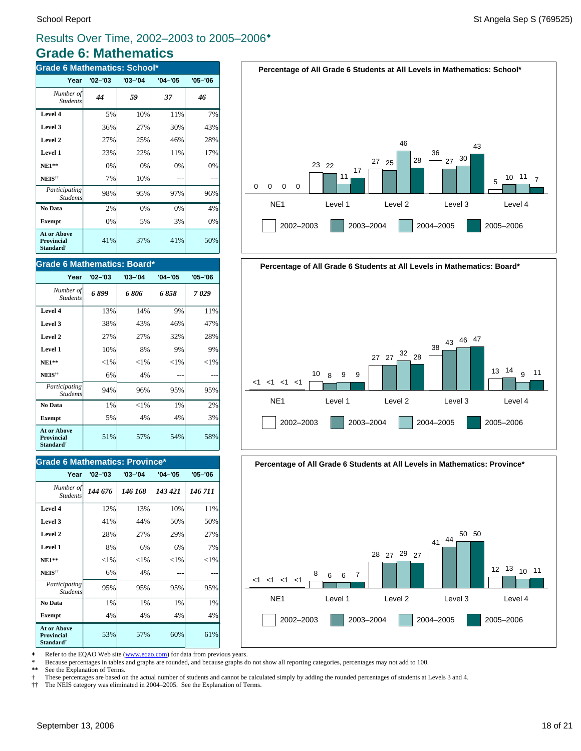# **Grade 6: Mathematics** Results Over Time, 2002–2003 to 2005–2006<sup>\*</sup>

| <b>Grade 6 Mathematics: School*</b>                       |             |             |             |             |  |  |  |
|-----------------------------------------------------------|-------------|-------------|-------------|-------------|--|--|--|
| Year                                                      | $'02 - '03$ | $'03 - '04$ | $'04 - '05$ | $'05 - '06$ |  |  |  |
| Number of<br><b>Students</b>                              | 44          | 59          | 37          | 46          |  |  |  |
| Level 4                                                   | 5%          | 10%         | 11%         | 7%          |  |  |  |
| Level 3                                                   | 36%         | 27%         | 30%         | 43%         |  |  |  |
| Level 2                                                   | 27%         | 25%         | 46%         | 28%         |  |  |  |
| Level 1                                                   | 23%         | 22%         | 11%         | 17%         |  |  |  |
| <b>NE1**</b>                                              | 0%          | 0%          | 0%          | 0%          |  |  |  |
| NEIS <sup>††</sup>                                        | 7%          | 10%         |             |             |  |  |  |
| Participating<br><b>Students</b>                          | 98%         | 95%         | 97%         | 96%         |  |  |  |
| No Data                                                   | 2%          | 0%          | 0%          | 4%          |  |  |  |
| <b>Exempt</b>                                             | 0%          | 5%          | 3%          | 0%          |  |  |  |
| At or Above<br>Provincial<br><b>Standard</b> <sup>†</sup> | 41%         | 37%         | 41%         | 50%         |  |  |  |

### **Grade 6 Mathematics: Board\***

| Year                                                                    | $'02 - '03$ | $'03 - '04$ | $'04 - '05$ | $'05 - '06$ |
|-------------------------------------------------------------------------|-------------|-------------|-------------|-------------|
| Number of<br><b>Students</b>                                            | 6899        | 6 806       | 6858        | 7029        |
| Level 4                                                                 | 13%         | 14%         | 9%          | 11%         |
| Level 3                                                                 | 38%         | 43%         | 46%         | 47%         |
| Level 2                                                                 | 27%         | 27%         | 32%         | 28%         |
| Level 1                                                                 | 10%         | 8%          | 9%          | 9%          |
| $NE1**$                                                                 | ${<}1\%$    | ${<}1\%$    | ${<}1\%$    | ${<}1\%$    |
| NEIS <sup>††</sup>                                                      | 6%          | 4%          |             |             |
| Participating<br><b>Students</b>                                        | 94%         | 96%         | 95%         | 95%         |
| No Data                                                                 | 1%          | ${<}1\%$    | 1%          | 2%          |
| <b>Exempt</b>                                                           | 5%          | 4%          | 4%          | 3%          |
| <b>At or Above</b><br><b>Provincial</b><br><b>Standard</b> <sup>†</sup> | 51%         | 57%         | 54%         | 58%         |

### **Grade 6 Mathematics: Province\***

| Year                                                                    | $'02 - '03$ | $'03 - '04$ | $'04 - '05$ | $'05 - '06$ |
|-------------------------------------------------------------------------|-------------|-------------|-------------|-------------|
| Number of<br><b>Students</b>                                            | 144 676     | 146 168     | 143 421     | 146 711     |
| Level 4                                                                 | 12%         | 13%         | 10%         | 11%         |
| Level 3                                                                 | 41%         | 44%         | 50%         | 50%         |
| Level 2                                                                 | 28%         | 27%         | 29%         | 27%         |
| Level 1                                                                 | 8%          | 6%          | 6%          | 7%          |
| <b>NE1**</b>                                                            | ${<}1\%$    | $<$ 1%      | ${<}1\%$    | ${<}1\%$    |
| NEIS <sup>††</sup>                                                      | 6%          | 4%          |             |             |
| Participating<br><b>Students</b>                                        | 95%         | 95%         | 95%         | 95%         |
| No Data                                                                 | 1%          | 1%          | 1%          | 1%          |
| <b>Exempt</b>                                                           | 4%          | 4%          | 4%          | 4%          |
| <b>At or Above</b><br><b>Provincial</b><br><b>Standard</b> <sup>†</sup> | 53%         | 57%         | 60%         | 61%         |





**Percentage of All Grade 6 Students at All Levels in Mathematics: Province\***



Refer to the EQAO Web site (www.eqao.com) for data from previous years.

\* Because percentages in tables and graphs are rounded, and because graphs do not show all reporting categories, percentages may not add to 100.

**\*\*** See the Explanation of Terms.

 $\dagger$  These percentages are based on the actual number of students and cannot be calculated simply by adding the rounded percentages of students at Levels 3 and 4.<br> $\dagger\uparrow$  The NEIS category was eliminated in 2004–2005. See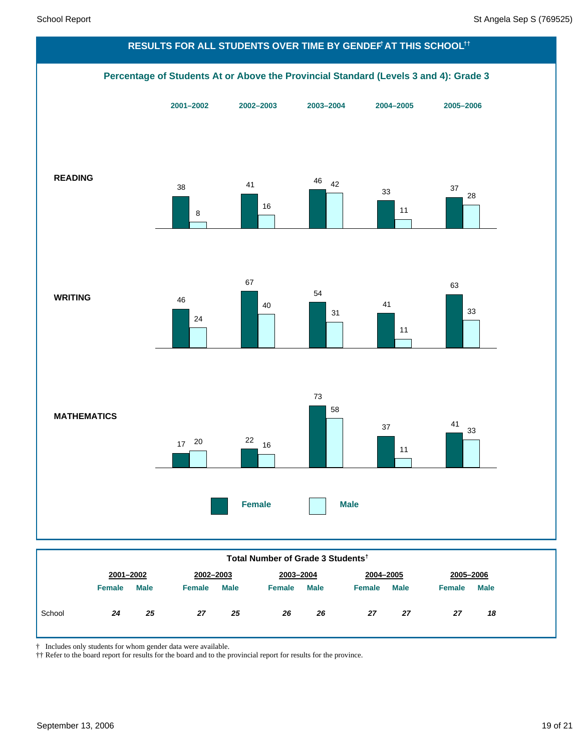

|        | 2001-2002     |             | 2002-2003     |             | 2003-2004 |             | 2004-2005     |             | 2005-2006     |             |
|--------|---------------|-------------|---------------|-------------|-----------|-------------|---------------|-------------|---------------|-------------|
|        | <b>Female</b> | <b>Male</b> | <b>Female</b> | <b>Male</b> | Female    | <b>Male</b> | <b>Female</b> | <b>Male</b> | <b>Female</b> | <b>Male</b> |
| School | 24            | 25          | 27            | 25          | 26        | 26          | 27            | 27          | 27            | 18          |
|        |               |             |               |             |           |             |               |             |               |             |

† Includes only students for whom gender data were available.

†† Refer to the board report for results for the board and to the provincial report for results for the province.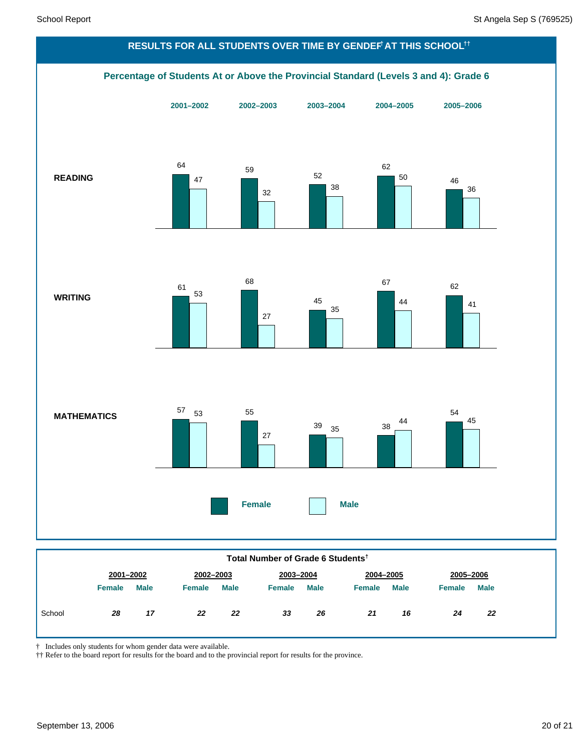

|        | $\cdots$ | ware | 1.2111412 | <b>STRATE</b> | $\sim$ | rule <sub>1</sub> | 1.2111112 | <b>STEATS</b> | $\sim$ | . |
|--------|----------|------|-----------|---------------|--------|-------------------|-----------|---------------|--------|---|
| School | 28       | 17   | 22        | 22            | 33     | 26                | 21        | 16            | 24     |   |
|        |          |      |           |               |        |                   |           |               |        |   |

† Includes only students for whom gender data were available.

†† Refer to the board report for results for the board and to the provincial report for results for the province.

*24 22*